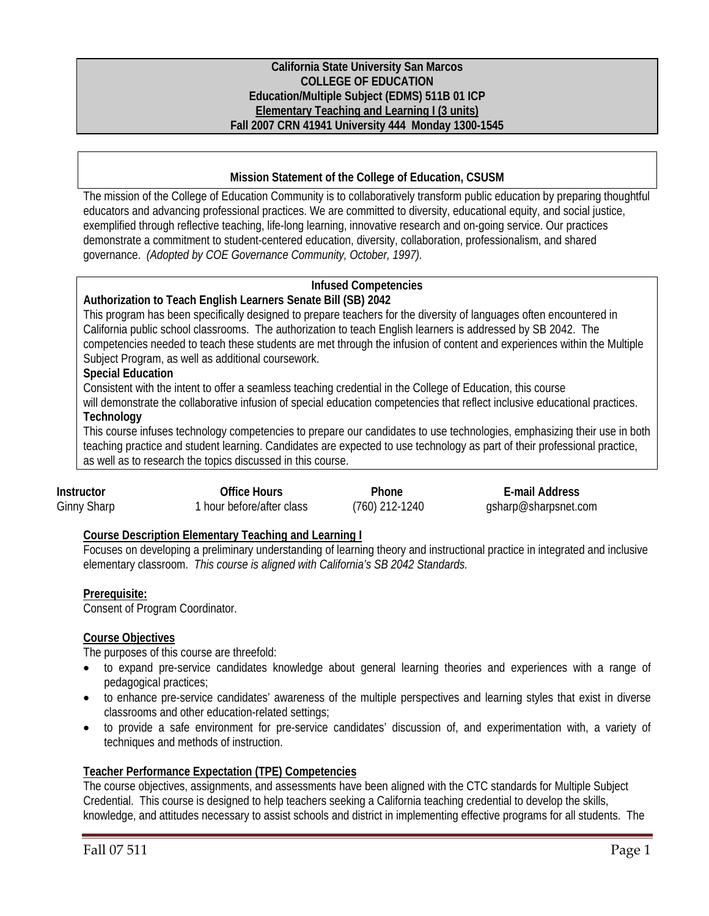### **California State University San Marcos COLLEGE OF EDUCATION Education/Multiple Subject (EDMS) 511B 01 ICP Elementary Teaching and Learning I (3 units) Fall 2007 CRN 41941 University 444 Monday 1300-1545**

## **Mission Statement of the College of Education, CSUSM**

The mission of the College of Education Community is to collaboratively transform public education by preparing thoughtful educators and advancing professional practices. We are committed to diversity, educational equity, and social justice, exemplified through reflective teaching, life-long learning, innovative research and on-going service. Our practices demonstrate a commitment to student-centered education, diversity, collaboration, professionalism, and shared governance. *(Adopted by COE Governance Community, October, 1997).* 

# **Infused Competencies**

#### **Authorization to Teach English Learners Senate Bill (SB) 2042**

This program has been specifically designed to prepare teachers for the diversity of languages often encountered in California public school classrooms. The authorization to teach English learners is addressed by SB 2042. The competencies needed to teach these students are met through the infusion of content and experiences within the Multiple Subject Program, as well as additional coursework.

## **Special Education**

Consistent with the intent to offer a seamless teaching credential in the College of Education, this course

will demonstrate the collaborative infusion of special education competencies that reflect inclusive educational practices. **Technology** 

This course infuses technology competencies to prepare our candidates to use technologies, emphasizing their use in both teaching practice and student learning. Candidates are expected to use technology as part of their professional practice, as well as to research the topics discussed in this course.

| Instructor  | Office Hours                         | Phone          | E-mail Address       |
|-------------|--------------------------------------|----------------|----------------------|
| Ginny Sharp | <sup>1</sup> hour before/after class | (760) 212-1240 | gsharp@sharpsnet.com |

## **Course Description Elementary Teaching and Learning I**

Focuses on developing a preliminary understanding of learning theory and instructional practice in integrated and inclusive elementary classroom. *This course is aligned with California's SB 2042 Standards.* 

## **Prerequisite:**

Consent of Program Coordinator.

## **Course Objectives**

The purposes of this course are threefold:

- to expand pre-service candidates knowledge about general learning theories and experiences with a range of pedagogical practices;
- to enhance pre-service candidates' awareness of the multiple perspectives and learning styles that exist in diverse classrooms and other education-related settings;
- to provide a safe environment for pre-service candidates' discussion of, and experimentation with, a variety of techniques and methods of instruction.

## **Teacher Performance Expectation (TPE) Competencies**

The course objectives, assignments, and assessments have been aligned with the CTC standards for Multiple Subject Credential. This course is designed to help teachers seeking a California teaching credential to develop the skills, knowledge, and attitudes necessary to assist schools and district in implementing effective programs for all students. The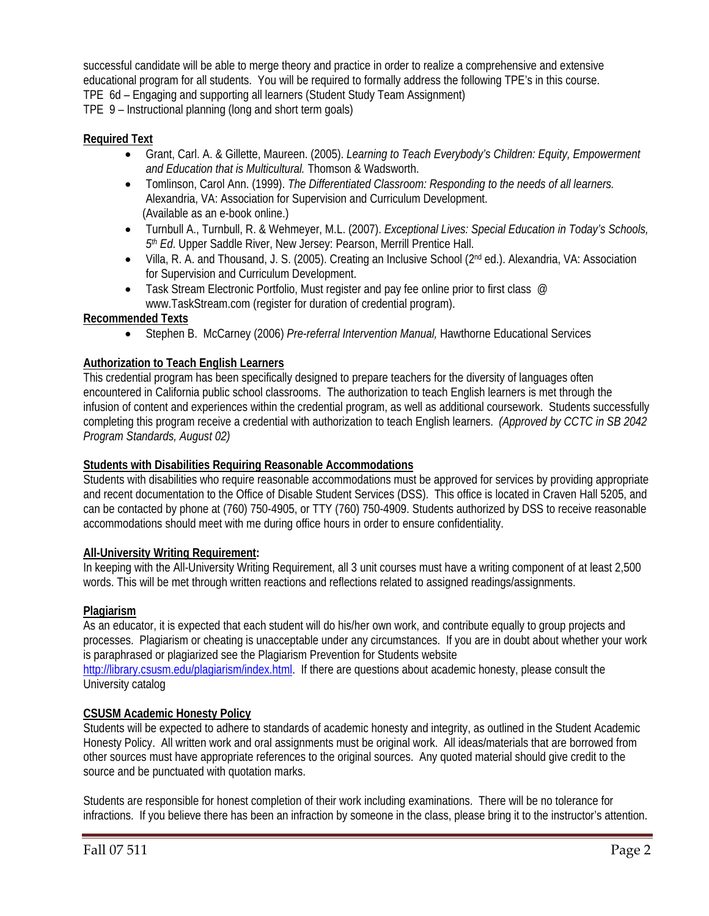successful candidate will be able to merge theory and practice in order to realize a comprehensive and extensive educational program for all students. You will be required to formally address the following TPE's in this course. TPE 6d – Engaging and supporting all learners (Student Study Team Assignment) TPE 9 – Instructional planning (long and short term goals)

## **Required Text**

- Grant, Carl. A. & Gillette, Maureen. (2005). *Learning to Teach Everybody's Children: Equity, Empowerment and Education that is Multicultural.* Thomson & Wadsworth.
- Tomlinson, Carol Ann. (1999). *The Differentiated Classroom: Responding to the needs of all learners.*  Alexandria, VA: Association for Supervision and Curriculum Development. (Available as an e-book online.)
- Turnbull A., Turnbull, R. & Wehmeyer, M.L. (2007). *Exceptional Lives: Special Education in Today's Schools, 5th Ed*. Upper Saddle River, New Jersey: Pearson, Merrill Prentice Hall.
- Villa, R. A. and Thousand, J. S. (2005). Creating an Inclusive School (2<sup>nd</sup> ed.). Alexandria, VA: Association for Supervision and Curriculum Development.
- Task Stream Electronic Portfolio, Must register and pay fee online prior to first class @ www.TaskStream.com (register for duration of credential program).

## **Recommended Texts**

• Stephen B. McCarney (2006) *Pre-referral Intervention Manual,* Hawthorne Educational Services

## **Authorization to Teach English Learners**

This credential program has been specifically designed to prepare teachers for the diversity of languages often encountered in California public school classrooms. The authorization to teach English learners is met through the infusion of content and experiences within the credential program, as well as additional coursework. Students successfully completing this program receive a credential with authorization to teach English learners. *(Approved by CCTC in SB 2042 Program Standards, August 02)*

## **Students with Disabilities Requiring Reasonable Accommodations**

Students with disabilities who require reasonable accommodations must be approved for services by providing appropriate and recent documentation to the Office of Disable Student Services (DSS). This office is located in Craven Hall 5205, and can be contacted by phone at (760) 750-4905, or TTY (760) 750-4909. Students authorized by DSS to receive reasonable accommodations should meet with me during office hours in order to ensure confidentiality.

## **All-University Writing Requirement:**

In keeping with the All-University Writing Requirement, all 3 unit courses must have a writing component of at least 2,500 words. This will be met through written reactions and reflections related to assigned readings/assignments.

## **Plagiarism**

As an educator, it is expected that each student will do his/her own work, and contribute equally to group projects and processes. Plagiarism or cheating is unacceptable under any circumstances. If you are in doubt about whether your work is paraphrased or plagiarized see the Plagiarism Prevention for Students website

http://library.csusm.edu/plagiarism/index.html. If there are questions about academic honesty, please consult the University catalog

## **CSUSM Academic Honesty Policy**

Students will be expected to adhere to standards of academic honesty and integrity, as outlined in the Student Academic Honesty Policy. All written work and oral assignments must be original work. All ideas/materials that are borrowed from other sources must have appropriate references to the original sources. Any quoted material should give credit to the source and be punctuated with quotation marks.

Students are responsible for honest completion of their work including examinations. There will be no tolerance for infractions. If you believe there has been an infraction by someone in the class, please bring it to the instructor's attention.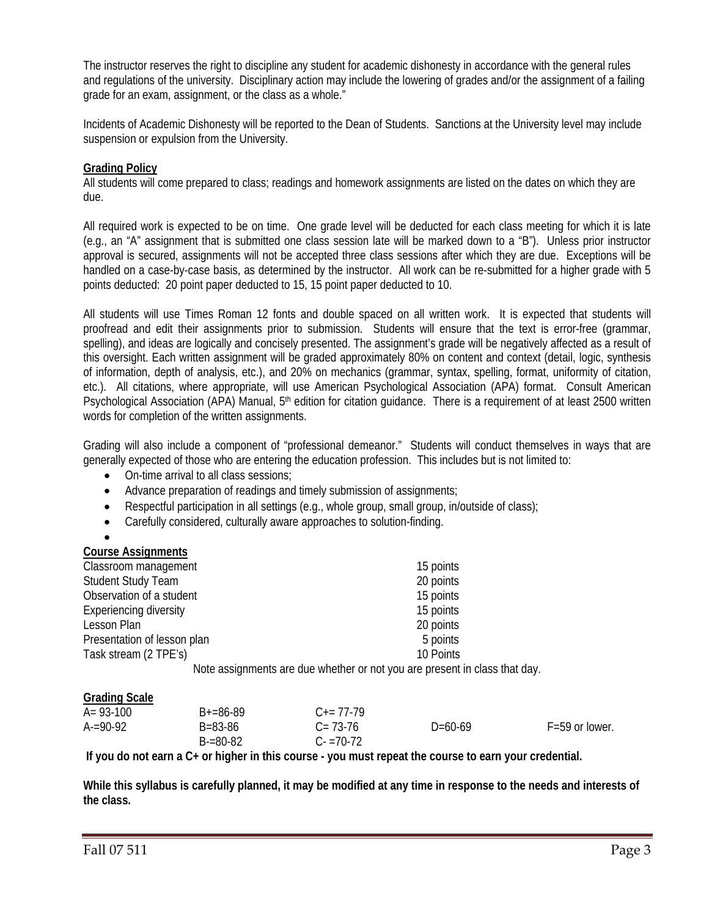The instructor reserves the right to discipline any student for academic dishonesty in accordance with the general rules and regulations of the university. Disciplinary action may include the lowering of grades and/or the assignment of a failing grade for an exam, assignment, or the class as a whole."

Incidents of Academic Dishonesty will be reported to the Dean of Students. Sanctions at the University level may include suspension or expulsion from the University.

## **Grading Policy**

All students will come prepared to class; readings and homework assignments are listed on the dates on which they are due.

All required work is expected to be on time. One grade level will be deducted for each class meeting for which it is late (e.g., an "A" assignment that is submitted one class session late will be marked down to a "B"). Unless prior instructor approval is secured, assignments will not be accepted three class sessions after which they are due. Exceptions will be handled on a case-by-case basis, as determined by the instructor. All work can be re-submitted for a higher grade with 5 points deducted: 20 point paper deducted to 15, 15 point paper deducted to 10.

All students will use Times Roman 12 fonts and double spaced on all written work. It is expected that students will proofread and edit their assignments prior to submission. Students will ensure that the text is error-free (grammar, spelling), and ideas are logically and concisely presented. The assignment's grade will be negatively affected as a result of this oversight. Each written assignment will be graded approximately 80% on content and context (detail, logic, synthesis of information, depth of analysis, etc.), and 20% on mechanics (grammar, syntax, spelling, format, uniformity of citation, etc.). All citations, where appropriate, will use American Psychological Association (APA) format. Consult American Psychological Association (APA) Manual, 5<sup>th</sup> edition for citation guidance. There is a requirement of at least 2500 written words for completion of the written assignments.

Grading will also include a component of "professional demeanor." Students will conduct themselves in ways that are generally expected of those who are entering the education profession. This includes but is not limited to:

- On-time arrival to all class sessions;
- Advance preparation of readings and timely submission of assignments;
- Respectful participation in all settings (e.g., whole group, small group, in/outside of class);
- Carefully considered, culturally aware approaches to solution-finding.

| <b>Course Assignments</b> |
|---------------------------|

| Classroom management          | 15 points                                                                                             |
|-------------------------------|-------------------------------------------------------------------------------------------------------|
| <b>Student Study Team</b>     | 20 points                                                                                             |
| Observation of a student      | 15 points                                                                                             |
| <b>Experiencing diversity</b> | 15 points                                                                                             |
| Lesson Plan                   | 20 points                                                                                             |
| Presentation of lesson plan   | 5 points                                                                                              |
| Task stream (2 TPE's)         | 10 Points                                                                                             |
|                               | Mister a colonense entre la característica en la característica en la característica el característic |

Note assignments are due whether or not you are present in class that day.

#### **Grading Scale**

| $A = 93 - 100$ | $B+=86-89$    | $C_{\pm} = 77 - 79$ |           |                    |
|----------------|---------------|---------------------|-----------|--------------------|
| $A = 90-92$    | B=83-86       | $C = 73-76$         | $D=60-69$ | $F = 59$ or lower. |
|                | $B = 80 - 82$ | $C - 70 - 72$       |           |                    |

**If you do not earn a C+ or higher in this course - you must repeat the course to earn your credential.** 

**While this syllabus is carefully planned, it may be modified at any time in response to the needs and interests of the class.**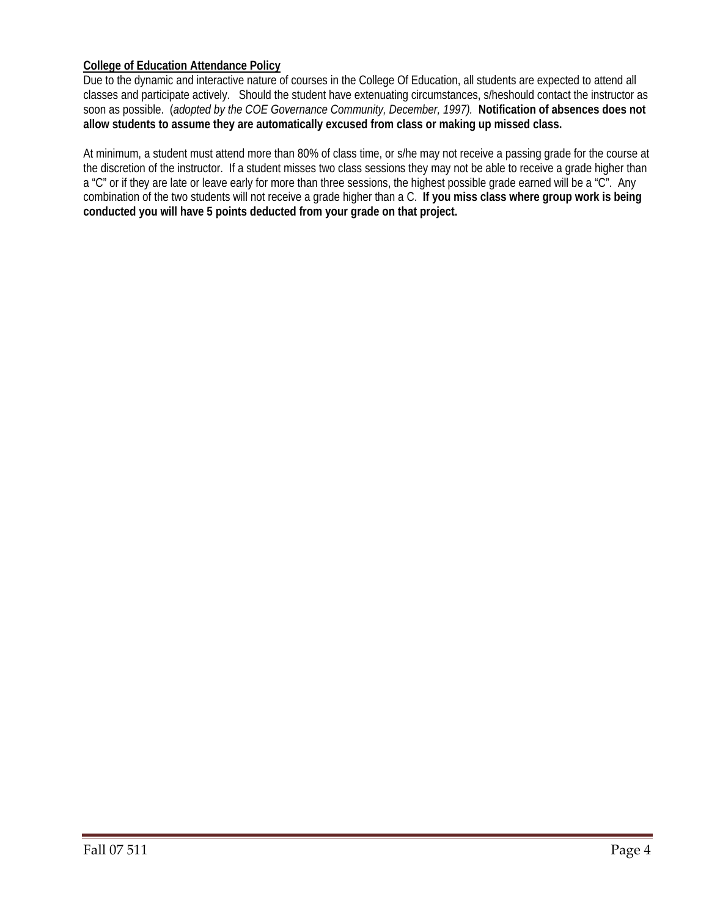## **College of Education Attendance Policy**

Due to the dynamic and interactive nature of courses in the College Of Education, all students are expected to attend all classes and participate actively. Should the student have extenuating circumstances, s/heshould contact the instructor as soon as possible. (*adopted by the COE Governance Community, December, 1997).* **Notification of absences does not allow students to assume they are automatically excused from class or making up missed class.** 

At minimum, a student must attend more than 80% of class time, or s/he may not receive a passing grade for the course at the discretion of the instructor. If a student misses two class sessions they may not be able to receive a grade higher than a "C" or if they are late or leave early for more than three sessions, the highest possible grade earned will be a "C". Any combination of the two students will not receive a grade higher than a C. **If you miss class where group work is being conducted you will have 5 points deducted from your grade on that project.**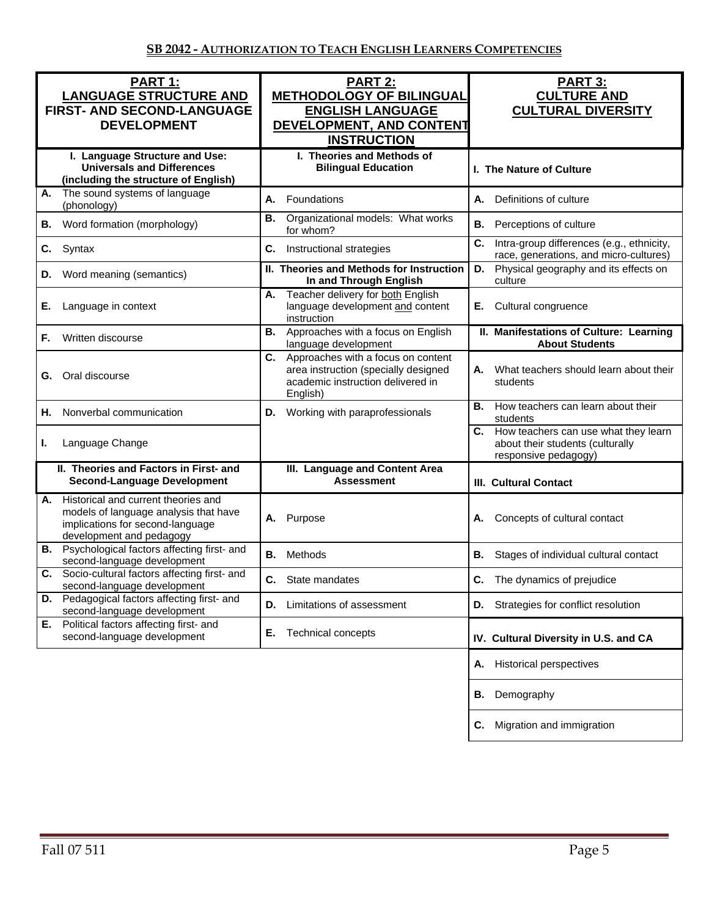| PART 1:<br><b>LANGUAGE STRUCTURE AND</b><br>FIRST- AND SECOND-LANGUAGE<br><b>DEVELOPMENT</b>                                                       | <b>PART 2:</b><br><b>METHODOLOGY OF BILINGUAL</b><br><b>ENGLISH LANGUAGE</b><br>DEVELOPMENT, AND CONTENT<br><b>INSTRUCTION</b>    | <b>PART 3:</b><br><b>CULTURE AND</b><br><b>CULTURAL DIVERSITY</b>                                   |  |
|----------------------------------------------------------------------------------------------------------------------------------------------------|-----------------------------------------------------------------------------------------------------------------------------------|-----------------------------------------------------------------------------------------------------|--|
| I. Language Structure and Use:<br><b>Universals and Differences</b><br>(including the structure of English)                                        | I. Theories and Methods of<br><b>Bilingual Education</b>                                                                          | I. The Nature of Culture                                                                            |  |
| The sound systems of language<br>А.<br>(phonology)                                                                                                 | А.<br>Foundations                                                                                                                 | А.<br>Definitions of culture                                                                        |  |
| <b>B.</b> Word formation (morphology)                                                                                                              | Organizational models: What works<br>В.<br>for whom?                                                                              | В.<br>Perceptions of culture                                                                        |  |
| Syntax<br>C.                                                                                                                                       | C.<br>Instructional strategies                                                                                                    | C.<br>Intra-group differences (e.g., ethnicity,<br>race, generations, and micro-cultures)           |  |
| <b>D.</b> Word meaning (semantics)                                                                                                                 | II. Theories and Methods for Instruction<br>In and Through English                                                                | Physical geography and its effects on<br>D.<br>culture                                              |  |
| Е.<br>Language in context                                                                                                                          | Teacher delivery for both English<br>А.<br>language development and content<br>instruction                                        | Cultural congruence<br>Е.                                                                           |  |
| Written discourse<br>F.                                                                                                                            | Approaches with a focus on English<br>В.<br>language development                                                                  | II. Manifestations of Culture: Learning<br><b>About Students</b>                                    |  |
| Oral discourse<br>G.                                                                                                                               | Approaches with a focus on content<br>C.<br>area instruction (specially designed<br>academic instruction delivered in<br>English) | What teachers should learn about their<br>А.<br>students                                            |  |
| Nonverbal communication<br>Н.                                                                                                                      | Working with paraprofessionals<br>D.                                                                                              | <b>B.</b> How teachers can learn about their<br>students                                            |  |
| Language Change<br>L.                                                                                                                              |                                                                                                                                   | C. How teachers can use what they learn<br>about their students (culturally<br>responsive pedagogy) |  |
| II. Theories and Factors in First- and<br><b>Second-Language Development</b>                                                                       | III. Language and Content Area<br><b>Assessment</b>                                                                               | <b>III. Cultural Contact</b>                                                                        |  |
| Historical and current theories and<br>А.<br>models of language analysis that have<br>implications for second-language<br>development and pedagogy | Purpose<br>А.                                                                                                                     | Concepts of cultural contact                                                                        |  |
| <b>B.</b> Psychological factors affecting first- and<br>second-language development                                                                | Methods<br>В.                                                                                                                     | В.<br>Stages of individual cultural contact                                                         |  |
| Socio-cultural factors affecting first- and<br>C.<br>second-language development                                                                   | <b>C.</b> State mandates                                                                                                          | C. The dynamics of prejudice                                                                        |  |
| Pedagogical factors affecting first- and<br>D.<br>second-language development                                                                      | Limitations of assessment<br>D.                                                                                                   | Strategies for conflict resolution<br>D.                                                            |  |
| Political factors affecting first- and<br>Е.<br>second-language development                                                                        | Е.<br><b>Technical concepts</b>                                                                                                   | IV. Cultural Diversity in U.S. and CA                                                               |  |
|                                                                                                                                                    |                                                                                                                                   | <b>Historical perspectives</b><br>А.                                                                |  |
|                                                                                                                                                    |                                                                                                                                   | Demography<br>В.                                                                                    |  |
|                                                                                                                                                    |                                                                                                                                   | Migration and immigration<br>C.                                                                     |  |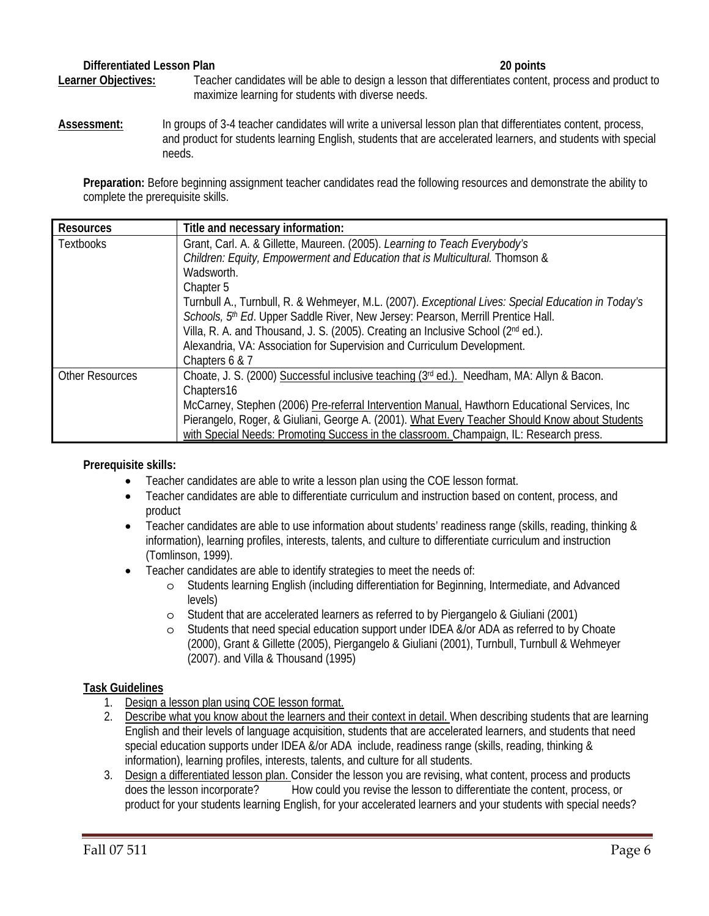## **Differentiated Lesson Plan 20 points**

**Learner Objectives:** Teacher candidates will be able to design a lesson that differentiates content, process and product to maximize learning for students with diverse needs.

**Assessment:** In groups of 3-4 teacher candidates will write a universal lesson plan that differentiates content, process, and product for students learning English, students that are accelerated learners, and students with special needs.

**Preparation:** Before beginning assignment teacher candidates read the following resources and demonstrate the ability to complete the prerequisite skills.

| <b>Resources</b>                                                                                                                                                                                | Title and necessary information:                                                                   |  |                                                                                        |
|-------------------------------------------------------------------------------------------------------------------------------------------------------------------------------------------------|----------------------------------------------------------------------------------------------------|--|----------------------------------------------------------------------------------------|
| <b>Textbooks</b>                                                                                                                                                                                | Grant, Carl. A. & Gillette, Maureen. (2005). Learning to Teach Everybody's                         |  |                                                                                        |
|                                                                                                                                                                                                 | Children: Equity, Empowerment and Education that is Multicultural. Thomson &                       |  |                                                                                        |
|                                                                                                                                                                                                 | Wadsworth.                                                                                         |  |                                                                                        |
|                                                                                                                                                                                                 | Chapter 5                                                                                          |  |                                                                                        |
|                                                                                                                                                                                                 | Turnbull A., Turnbull, R. & Wehmeyer, M.L. (2007). Exceptional Lives: Special Education in Today's |  |                                                                                        |
|                                                                                                                                                                                                 | Schools, 5th Ed. Upper Saddle River, New Jersey: Pearson, Merrill Prentice Hall.                   |  |                                                                                        |
|                                                                                                                                                                                                 | Villa, R. A. and Thousand, J. S. (2005). Creating an Inclusive School (2 <sup>nd</sup> ed.).       |  |                                                                                        |
|                                                                                                                                                                                                 | Alexandria, VA: Association for Supervision and Curriculum Development.                            |  |                                                                                        |
|                                                                                                                                                                                                 | Chapters 6 & 7                                                                                     |  |                                                                                        |
| <b>Other Resources</b>                                                                                                                                                                          | Choate, J. S. (2000) Successful inclusive teaching $(3^{rd}$ ed.). Needham, MA: Allyn & Bacon.     |  |                                                                                        |
|                                                                                                                                                                                                 | Chapters16                                                                                         |  |                                                                                        |
| McCarney, Stephen (2006) Pre-referral Intervention Manual, Hawthorn Educational Services, Inc<br>Pierangelo, Roger, & Giuliani, George A. (2001). What Every Teacher Should Know about Students |                                                                                                    |  |                                                                                        |
|                                                                                                                                                                                                 |                                                                                                    |  | with Special Needs: Promoting Success in the classroom. Champaign, IL: Research press. |

## **Prerequisite skills:**

- Teacher candidates are able to write a lesson plan using the COE lesson format.
- Teacher candidates are able to differentiate curriculum and instruction based on content, process, and product
- Teacher candidates are able to use information about students' readiness range (skills, reading, thinking & information), learning profiles, interests, talents, and culture to differentiate curriculum and instruction (Tomlinson, 1999).
- Teacher candidates are able to identify strategies to meet the needs of:
	- o Students learning English (including differentiation for Beginning, Intermediate, and Advanced levels)
	- o Student that are accelerated learners as referred to by Piergangelo & Giuliani (2001)
	- o Students that need special education support under IDEA &/or ADA as referred to by Choate (2000), Grant & Gillette (2005), Piergangelo & Giuliani (2001), Turnbull, Turnbull & Wehmeyer (2007). and Villa & Thousand (1995)

## **Task Guidelines**

- 1. Design a lesson plan using COE lesson format.
- 2. Describe what you know about the learners and their context in detail. When describing students that are learning English and their levels of language acquisition, students that are accelerated learners, and students that need special education supports under IDEA &/or ADA include, readiness range (skills, reading, thinking & information), learning profiles, interests, talents, and culture for all students.
- 3. Design a differentiated lesson plan. Consider the lesson you are revising, what content, process and products does the lesson incorporate? How could you revise the lesson to differentiate the content, process, or product for your students learning English, for your accelerated learners and your students with special needs?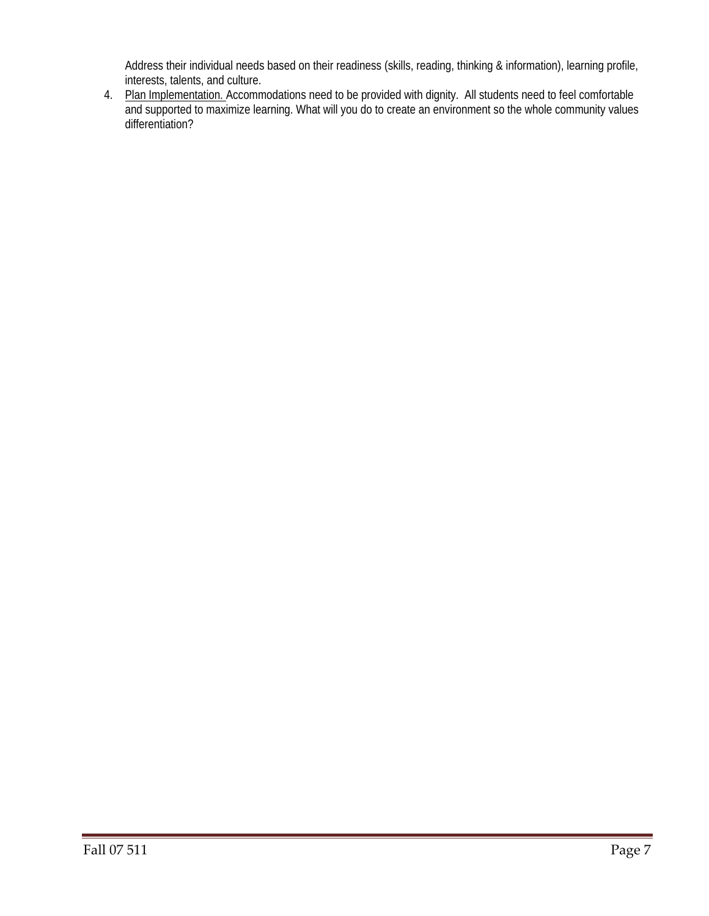Address their individual needs based on their readiness (skills, reading, thinking & information), learning profile, interests, talents, and culture.

4. Plan Implementation. Accommodations need to be provided with dignity. All students need to feel comfortable and supported to maximize learning. What will you do to create an environment so the whole community values differentiation?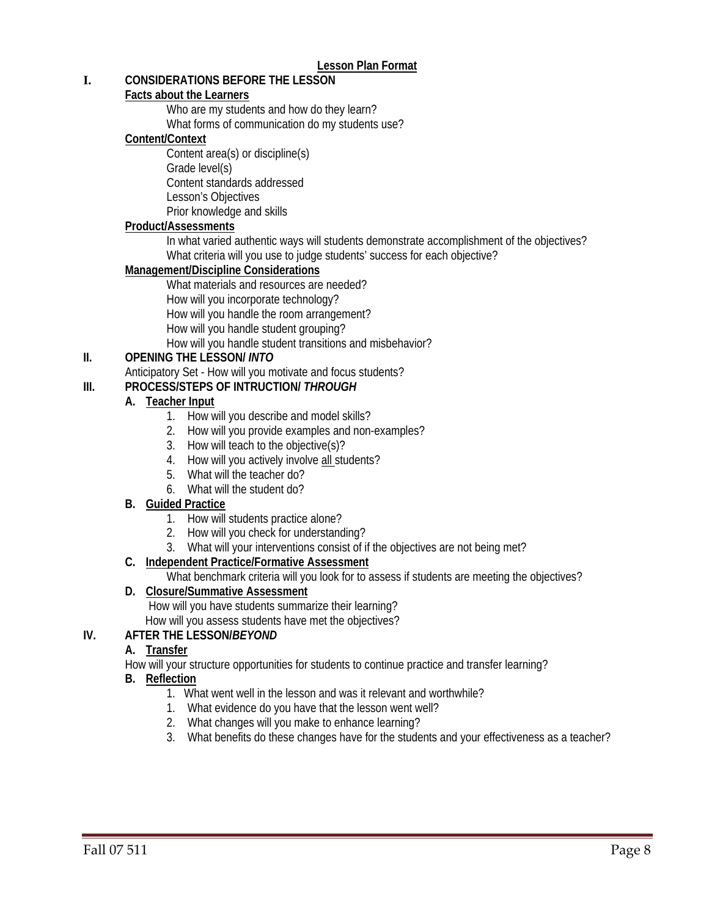## **I. CONSIDERATIONS BEFORE THE LESSON**

## **Facts about the Learners**

Who are my students and how do they learn?

What forms of communication do my students use?

## **Content/Context**

Content area(s) or discipline(s) Grade level(s) Content standards addressed Lesson's Objectives Prior knowledge and skills

## **Product/Assessments**

In what varied authentic ways will students demonstrate accomplishment of the objectives? What criteria will you use to judge students' success for each objective?

## **Management/Discipline Considerations**

What materials and resources are needed? How will you incorporate technology? How will you handle the room arrangement? How will you handle student grouping? How will you handle student transitions and misbehavior?

## **II. OPENING THE LESSON/** *INTO*

Anticipatory Set - How will you motivate and focus students?

## **III. PROCESS/STEPS OF INTRUCTION/** *THROUGH*

## **A. Teacher Input**

- 1. How will you describe and model skills?
- 2. How will you provide examples and non-examples?
- 3. How will teach to the objective(s)?
- 4. How will you actively involve all students?
- 5. What will the teacher do?
- 6. What will the student do?

## **B. Guided Practice**

- 1. How will students practice alone?
- 2. How will you check for understanding?
- 3. What will your interventions consist of if the objectives are not being met?

## **C. Independent Practice/Formative Assessment**

What benchmark criteria will you look for to assess if students are meeting the objectives?

## **D. Closure/Summative Assessment**

 How will you have students summarize their learning? How will you assess students have met the objectives?

## **IV. AFTER THE LESSON/***BEYOND*

## **A. Transfer**

How will your structure opportunities for students to continue practice and transfer learning?

## **B. Reflection**

- 1. What went well in the lesson and was it relevant and worthwhile?
- 1. What evidence do you have that the lesson went well?
- 2. What changes will you make to enhance learning?
- 3. What benefits do these changes have for the students and your effectiveness as a teacher?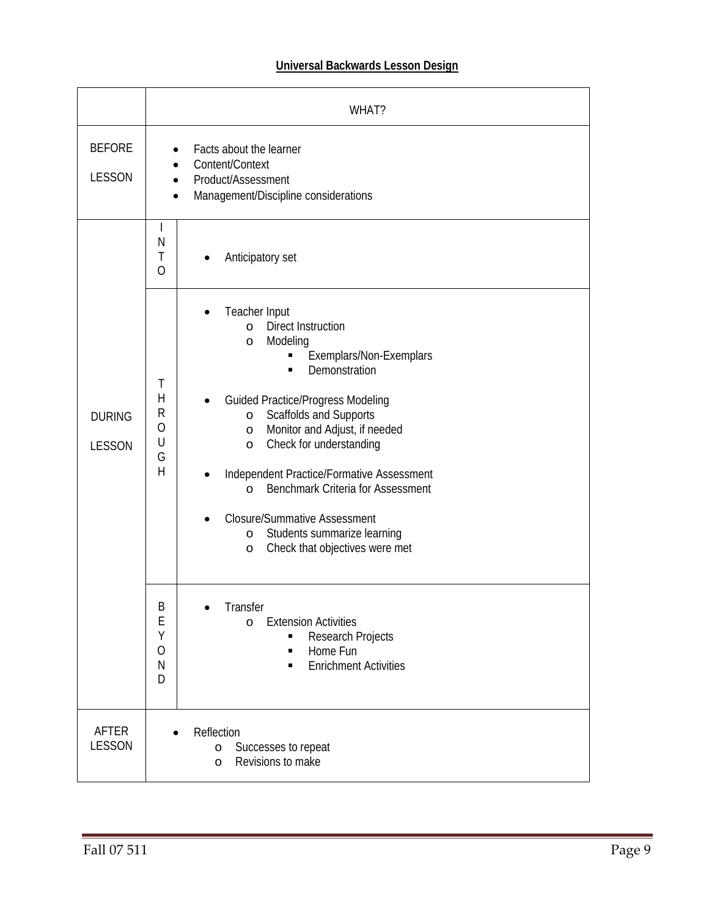# **Universal Backwards Lesson Design**

|                                | WHAT?                                                                                                                                                                                                                                                                                                                                                                                                                                                                                                                                                                                                                         |  |
|--------------------------------|-------------------------------------------------------------------------------------------------------------------------------------------------------------------------------------------------------------------------------------------------------------------------------------------------------------------------------------------------------------------------------------------------------------------------------------------------------------------------------------------------------------------------------------------------------------------------------------------------------------------------------|--|
| <b>BEFORE</b><br><b>LESSON</b> | Facts about the learner<br>Content/Context<br>Product/Assessment<br>Management/Discipline considerations                                                                                                                                                                                                                                                                                                                                                                                                                                                                                                                      |  |
|                                | $\mathsf{I}$<br>N<br>Τ<br>Anticipatory set<br>0                                                                                                                                                                                                                                                                                                                                                                                                                                                                                                                                                                               |  |
| <b>DURING</b><br><b>LESSON</b> | Teacher Input<br><b>Direct Instruction</b><br>$\circ$<br>Modeling<br>$\circ$<br>Exemplars/Non-Exemplars<br>Demonstration<br>$\blacksquare$<br>T<br>$\overline{H}$<br><b>Guided Practice/Progress Modeling</b><br>$\mathsf{R}$<br>Scaffolds and Supports<br>$\circ$<br>$\overline{O}$<br>Monitor and Adjust, if needed<br>$\circ$<br>U<br>Check for understanding<br>$\circ$<br>G<br>$\overline{H}$<br>Independent Practice/Formative Assessment<br>Benchmark Criteria for Assessment<br>$\circ$<br><b>Closure/Summative Assessment</b><br>Students summarize learning<br>$\circ$<br>Check that objectives were met<br>$\circ$ |  |
|                                | Β<br>Transfer<br>E<br><b>Extension Activities</b><br>$\circ$<br>Υ<br>Research Projects<br>٠<br>$\overline{O}$<br>Home Fun<br>$\blacksquare$<br>$\mathsf{N}$<br><b>Enrichment Activities</b><br>D                                                                                                                                                                                                                                                                                                                                                                                                                              |  |
| <b>AFTER</b><br><b>LESSON</b>  | Reflection<br>Successes to repeat<br>$\circ$<br>Revisions to make<br>$\circ$                                                                                                                                                                                                                                                                                                                                                                                                                                                                                                                                                  |  |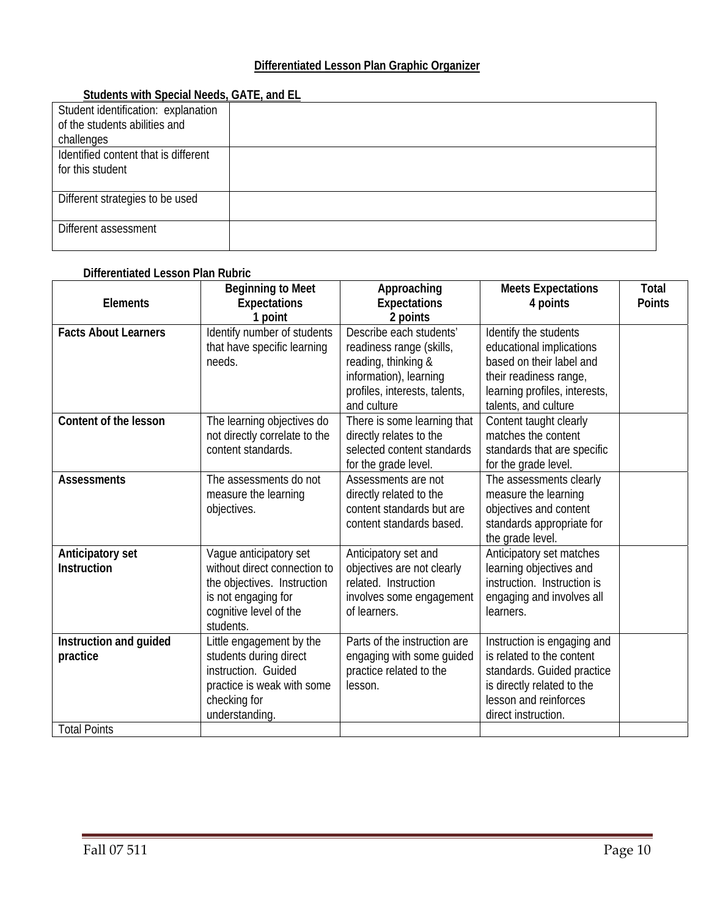# **Differentiated Lesson Plan Graphic Organizer**

| <b>Students With Special Needs, GATE, and EL</b> |  |
|--------------------------------------------------|--|
| Student identification: explanation              |  |
| of the students abilities and                    |  |
| challenges                                       |  |
| Identified content that is different             |  |
| for this student                                 |  |
|                                                  |  |
| Different strategies to be used                  |  |
|                                                  |  |
| Different assessment                             |  |
|                                                  |  |

# **Students with Special Needs, GATE, and EL**

#### **Differentiated Lesson Plan Rubric**

| <b>Elements</b>                                           | <b>Beginning to Meet</b><br><b>Expectations</b><br>1 point                                                                                          | Approaching<br><b>Expectations</b><br>2 points                                                                                                       | <b>Meets Expectations</b><br>4 points                                                                                                                                | Total<br><b>Points</b> |
|-----------------------------------------------------------|-----------------------------------------------------------------------------------------------------------------------------------------------------|------------------------------------------------------------------------------------------------------------------------------------------------------|----------------------------------------------------------------------------------------------------------------------------------------------------------------------|------------------------|
| <b>Facts About Learners</b>                               | Identify number of students<br>that have specific learning<br>needs.                                                                                | Describe each students'<br>readiness range (skills,<br>reading, thinking &<br>information), learning<br>profiles, interests, talents,<br>and culture | Identify the students<br>educational implications<br>based on their label and<br>their readiness range,<br>learning profiles, interests,<br>talents, and culture     |                        |
| Content of the lesson                                     | The learning objectives do<br>not directly correlate to the<br>content standards.                                                                   | There is some learning that<br>directly relates to the<br>selected content standards<br>for the grade level.                                         | Content taught clearly<br>matches the content<br>standards that are specific<br>for the grade level.                                                                 |                        |
| <b>Assessments</b>                                        | The assessments do not<br>measure the learning<br>objectives.                                                                                       | Assessments are not<br>directly related to the<br>content standards but are<br>content standards based.                                              | The assessments clearly<br>measure the learning<br>objectives and content<br>standards appropriate for<br>the grade level.                                           |                        |
| Anticipatory set<br><b>Instruction</b>                    | Vague anticipatory set<br>without direct connection to<br>the objectives. Instruction<br>is not engaging for<br>cognitive level of the<br>students. | Anticipatory set and<br>objectives are not clearly<br>related. Instruction<br>involves some engagement<br>of learners.                               | Anticipatory set matches<br>learning objectives and<br>instruction. Instruction is<br>engaging and involves all<br>learners.                                         |                        |
| Instruction and guided<br>practice<br><b>Total Points</b> | Little engagement by the<br>students during direct<br>instruction. Guided<br>practice is weak with some<br>checking for<br>understanding.           | Parts of the instruction are<br>engaging with some guided<br>practice related to the<br>lesson.                                                      | Instruction is engaging and<br>is related to the content<br>standards. Guided practice<br>is directly related to the<br>lesson and reinforces<br>direct instruction. |                        |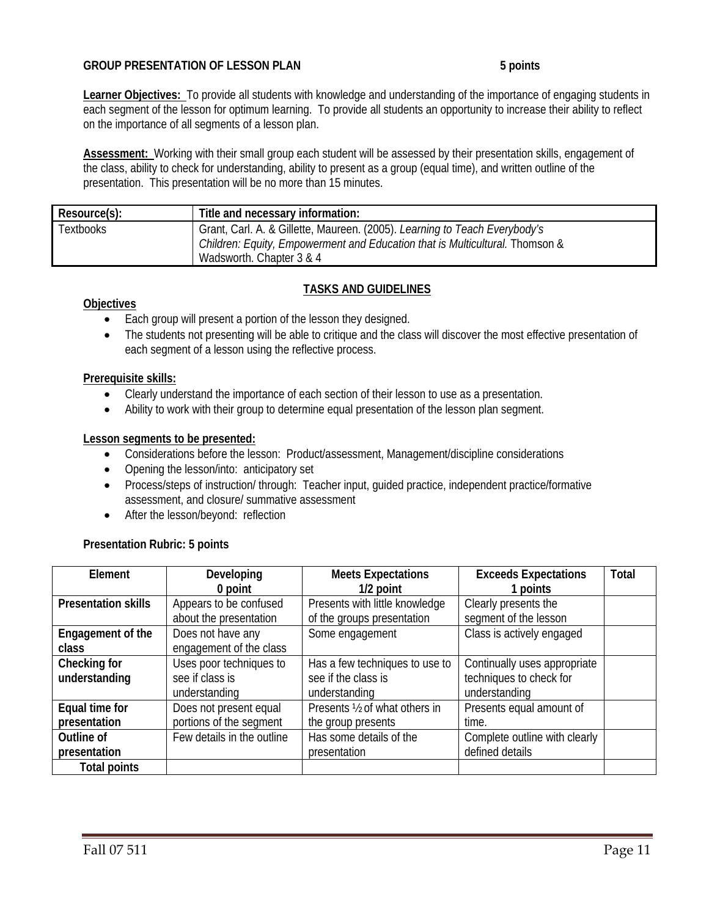## **GROUP PRESENTATION OF LESSON PLAN 5 points**

**Learner Objectives:** To provide all students with knowledge and understanding of the importance of engaging students in each segment of the lesson for optimum learning. To provide all students an opportunity to increase their ability to reflect on the importance of all segments of a lesson plan.

**Assessment:** Working with their small group each student will be assessed by their presentation skills, engagement of the class, ability to check for understanding, ability to present as a group (equal time), and written outline of the presentation. This presentation will be no more than 15 minutes.

| Resource(s): | Title and necessary information:                                             |  |
|--------------|------------------------------------------------------------------------------|--|
| Textbooks    | Grant, Carl. A. & Gillette, Maureen. (2005). Learning to Teach Everybody's   |  |
|              | Children: Equity, Empowerment and Education that is Multicultural. Thomson & |  |
|              | Wadsworth. Chapter 3 & 4                                                     |  |

## **TASKS AND GUIDELINES**

#### **Objectives**

- Each group will present a portion of the lesson they designed.
- The students not presenting will be able to critique and the class will discover the most effective presentation of each segment of a lesson using the reflective process.

#### **Prerequisite skills:**

- Clearly understand the importance of each section of their lesson to use as a presentation.
- Ability to work with their group to determine equal presentation of the lesson plan segment.

#### **Lesson segments to be presented:**

- Considerations before the lesson: Product/assessment, Management/discipline considerations
- Opening the lesson/into: anticipatory set
- Process/steps of instruction/ through: Teacher input, guided practice, independent practice/formative assessment, and closure/ summative assessment
- After the lesson/beyond: reflection

#### **Presentation Rubric: 5 points**

| Element                    | Developing                 | <b>Meets Expectations</b>      | <b>Exceeds Expectations</b>   | Total |
|----------------------------|----------------------------|--------------------------------|-------------------------------|-------|
|                            | 0 point                    | 1/2 point                      | 1 points                      |       |
| <b>Presentation skills</b> | Appears to be confused     | Presents with little knowledge | Clearly presents the          |       |
|                            | about the presentation     | of the groups presentation     | segment of the lesson         |       |
| Engagement of the          | Does not have any          | Some engagement                | Class is actively engaged     |       |
| class                      | engagement of the class    |                                |                               |       |
| Checking for               | Uses poor techniques to    | Has a few techniques to use to | Continually uses appropriate  |       |
| understanding              | see if class is            | see if the class is            | techniques to check for       |       |
|                            | understanding              | understanding                  | understanding                 |       |
| Equal time for             | Does not present equal     | Presents 1/2 of what others in | Presents equal amount of      |       |
| presentation               | portions of the segment    | the group presents             | time.                         |       |
| Outline of                 | Few details in the outline | Has some details of the        | Complete outline with clearly |       |
| presentation               |                            | presentation                   | defined details               |       |
| <b>Total points</b>        |                            |                                |                               |       |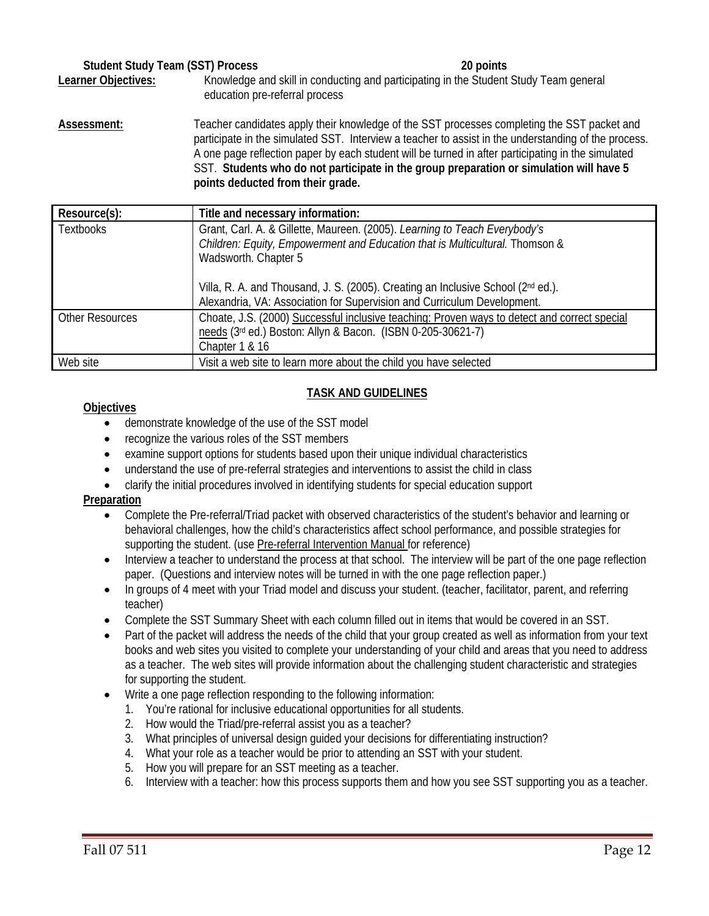| <b>Student Study Team (SST) Process</b> |                                | 20 points                                                                                                                                                                                                                                                                                                                                                                                            |
|-----------------------------------------|--------------------------------|------------------------------------------------------------------------------------------------------------------------------------------------------------------------------------------------------------------------------------------------------------------------------------------------------------------------------------------------------------------------------------------------------|
| Learner Objectives:                     | education pre-referral process | Knowledge and skill in conducting and participating in the Student Study Team general                                                                                                                                                                                                                                                                                                                |
| Assessment:                             |                                | Teacher candidates apply their knowledge of the SST processes completing the SST packet and<br>participate in the simulated SST. Interview a teacher to assist in the understanding of the process.<br>A one page reflection paper by each student will be turned in after participating in the simulated<br>SST. Students who do not participate in the group preparation or simulation will have 5 |

**points deducted from their grade.**

| Resource(s):           | Title and necessary information:                                                                                                                                                   |
|------------------------|------------------------------------------------------------------------------------------------------------------------------------------------------------------------------------|
| <b>Textbooks</b>       | Grant, Carl. A. & Gillette, Maureen. (2005). Learning to Teach Everybody's<br>Children: Equity, Empowerment and Education that is Multicultural. Thomson &<br>Wadsworth. Chapter 5 |
|                        | Villa, R. A. and Thousand, J. S. (2005). Creating an Inclusive School (2nd ed.).<br>Alexandria, VA: Association for Supervision and Curriculum Development.                        |
| <b>Other Resources</b> | Choate, J.S. (2000) Successful inclusive teaching: Proven ways to detect and correct special<br>needs (3rd ed.) Boston: Allyn & Bacon. (ISBN 0-205-30621-7)<br>Chapter 1 & 16      |
| Web site               | Visit a web site to learn more about the child you have selected                                                                                                                   |

## **TASK AND GUIDELINES**

## **Objectives**

- demonstrate knowledge of the use of the SST model
- recognize the various roles of the SST members
- examine support options for students based upon their unique individual characteristics
- understand the use of pre-referral strategies and interventions to assist the child in class
- clarify the initial procedures involved in identifying students for special education support

## **Preparation**

- Complete the Pre-referral/Triad packet with observed characteristics of the student's behavior and learning or behavioral challenges, how the child's characteristics affect school performance, and possible strategies for supporting the student. (use Pre-referral Intervention Manual for reference)
- Interview a teacher to understand the process at that school. The interview will be part of the one page reflection paper. (Questions and interview notes will be turned in with the one page reflection paper.)
- In groups of 4 meet with your Triad model and discuss your student. (teacher, facilitator, parent, and referring teacher)
- Complete the SST Summary Sheet with each column filled out in items that would be covered in an SST.
- Part of the packet will address the needs of the child that your group created as well as information from your text books and web sites you visited to complete your understanding of your child and areas that you need to address as a teacher. The web sites will provide information about the challenging student characteristic and strategies for supporting the student.
- Write a one page reflection responding to the following information:
	- 1. You're rational for inclusive educational opportunities for all students.
	- 2. How would the Triad/pre-referral assist you as a teacher?
	- 3. What principles of universal design guided your decisions for differentiating instruction?
	- 4. What your role as a teacher would be prior to attending an SST with your student.
	- 5. How you will prepare for an SST meeting as a teacher.
	- 6. Interview with a teacher: how this process supports them and how you see SST supporting you as a teacher.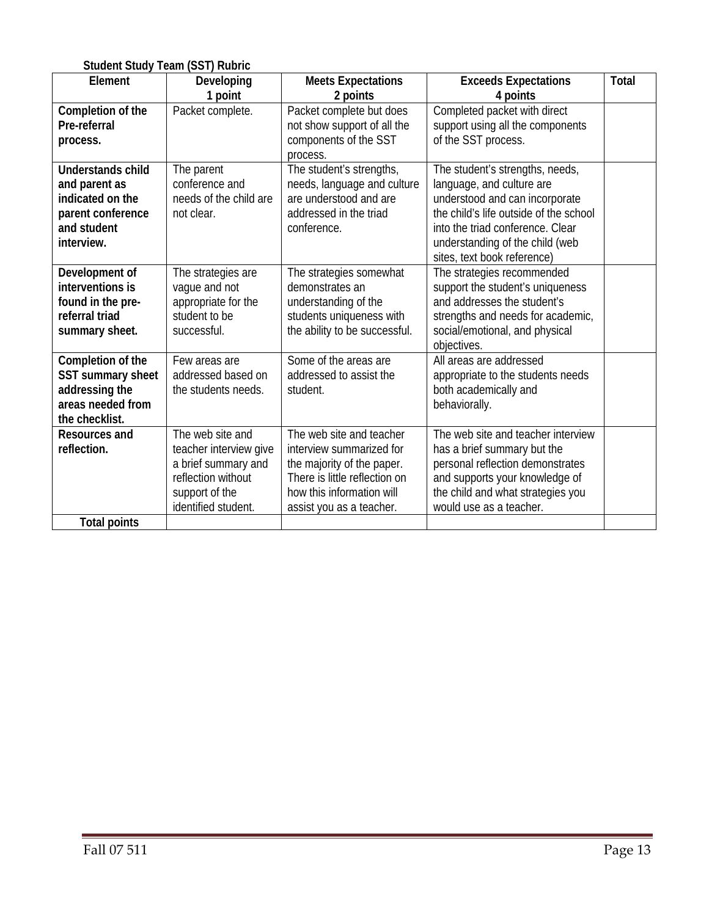| <b>Student Study Team (SST) Rubric</b> |                        |                                       |                                         |              |
|----------------------------------------|------------------------|---------------------------------------|-----------------------------------------|--------------|
| Element                                | Developing<br>1 point  | <b>Meets Expectations</b><br>2 points | <b>Exceeds Expectations</b><br>4 points | <b>Total</b> |
| Completion of the                      | Packet complete.       | Packet complete but does              | Completed packet with direct            |              |
| Pre-referral                           |                        | not show support of all the           | support using all the components        |              |
| process.                               |                        | components of the SST                 | of the SST process.                     |              |
|                                        |                        | process.                              |                                         |              |
| <b>Understands child</b>               | The parent             | The student's strengths,              | The student's strengths, needs,         |              |
| and parent as                          | conference and         | needs, language and culture           | language, and culture are               |              |
| indicated on the                       | needs of the child are | are understood and are                | understood and can incorporate          |              |
| parent conference                      | not clear.             | addressed in the triad                | the child's life outside of the school  |              |
| and student                            |                        | conference.                           | into the triad conference. Clear        |              |
| interview.                             |                        |                                       | understanding of the child (web         |              |
|                                        |                        |                                       | sites, text book reference)             |              |
| Development of                         | The strategies are     | The strategies somewhat               | The strategies recommended              |              |
| interventions is                       | vaque and not          | demonstrates an                       | support the student's uniqueness        |              |
| found in the pre-                      | appropriate for the    | understanding of the                  | and addresses the student's             |              |
| referral triad                         | student to be          | students uniqueness with              | strengths and needs for academic,       |              |
| summary sheet.                         | successful.            | the ability to be successful.         | social/emotional, and physical          |              |
|                                        |                        |                                       | objectives.                             |              |
| Completion of the                      | Few areas are          | Some of the areas are                 | All areas are addressed                 |              |
| SST summary sheet                      | addressed based on     | addressed to assist the               | appropriate to the students needs       |              |
| addressing the                         | the students needs.    | student.                              | both academically and                   |              |
| areas needed from                      |                        |                                       | behaviorally.                           |              |
| the checklist.                         |                        |                                       |                                         |              |
| <b>Resources and</b>                   | The web site and       | The web site and teacher              | The web site and teacher interview      |              |
| reflection.                            | teacher interview give | interview summarized for              | has a brief summary but the             |              |
|                                        | a brief summary and    | the majority of the paper.            | personal reflection demonstrates        |              |
|                                        | reflection without     | There is little reflection on         | and supports your knowledge of          |              |
|                                        | support of the         | how this information will             | the child and what strategies you       |              |
|                                        | identified student.    | assist you as a teacher.              | would use as a teacher.                 |              |
| <b>Total points</b>                    |                        |                                       |                                         |              |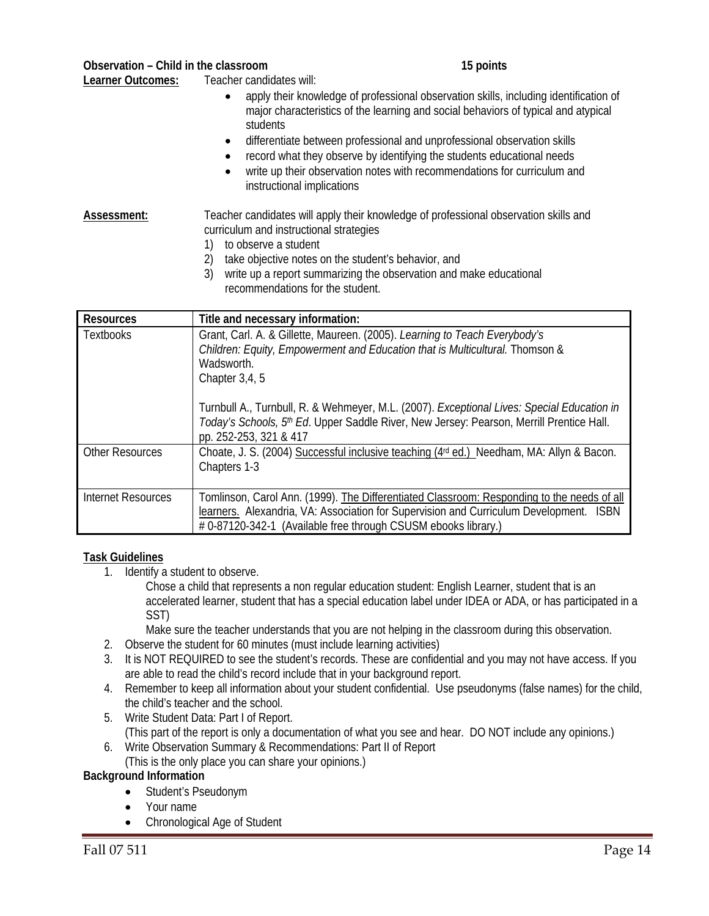Learner Outcomes: Teacher candidates will:

- apply their knowledge of professional observation skills, including identification of major characteristics of the learning and social behaviors of typical and atypical students
- differentiate between professional and unprofessional observation skills
- record what they observe by identifying the students educational needs
- write up their observation notes with recommendations for curriculum and instructional implications

# Assessment: Teacher candidates will apply their knowledge of professional observation skills and curriculum and instructional strategies

- 1) to observe a student
- 2) take objective notes on the student's behavior, and
- 3) write up a report summarizing the observation and make educational recommendations for the student.

| <b>Resources</b>       | Title and necessary information:                                                                                                                                                                                                                       |
|------------------------|--------------------------------------------------------------------------------------------------------------------------------------------------------------------------------------------------------------------------------------------------------|
| <b>Textbooks</b>       | Grant, Carl. A. & Gillette, Maureen. (2005). Learning to Teach Everybody's<br>Children: Equity, Empowerment and Education that is Multicultural. Thomson &<br>Wadsworth.<br>Chapter 3,4,5                                                              |
|                        | Turnbull A., Turnbull, R. & Wehmeyer, M.L. (2007). Exceptional Lives: Special Education in<br>Today's Schools, 5th Ed. Upper Saddle River, New Jersey: Pearson, Merrill Prentice Hall.<br>pp. 252-253, 321 & 417                                       |
| <b>Other Resources</b> | Choate, J. S. (2004) Successful inclusive teaching (4rd ed.) Needham, MA: Allyn & Bacon.<br>Chapters 1-3                                                                                                                                               |
| Internet Resources     | Tomlinson, Carol Ann. (1999). The Differentiated Classroom: Responding to the needs of all<br>learners. Alexandria, VA: Association for Supervision and Curriculum Development. ISBN<br># 0-87120-342-1 (Available free through CSUSM ebooks library.) |

## **Task Guidelines**

1. Identify a student to observe.

Chose a child that represents a non regular education student: English Learner, student that is an accelerated learner, student that has a special education label under IDEA or ADA, or has participated in a SST)

Make sure the teacher understands that you are not helping in the classroom during this observation.

- 2. Observe the student for 60 minutes (must include learning activities)
- 3. It is NOT REQUIRED to see the student's records. These are confidential and you may not have access. If you are able to read the child's record include that in your background report.
- 4. Remember to keep all information about your student confidential. Use pseudonyms (false names) for the child, the child's teacher and the school.
- 5. Write Student Data: Part I of Report. (This part of the report is only a documentation of what you see and hear. DO NOT include any opinions.)
- 6. Write Observation Summary & Recommendations: Part II of Report (This is the only place you can share your opinions.)

## **Background Information**

- Student's Pseudonym
- Your name
- Chronological Age of Student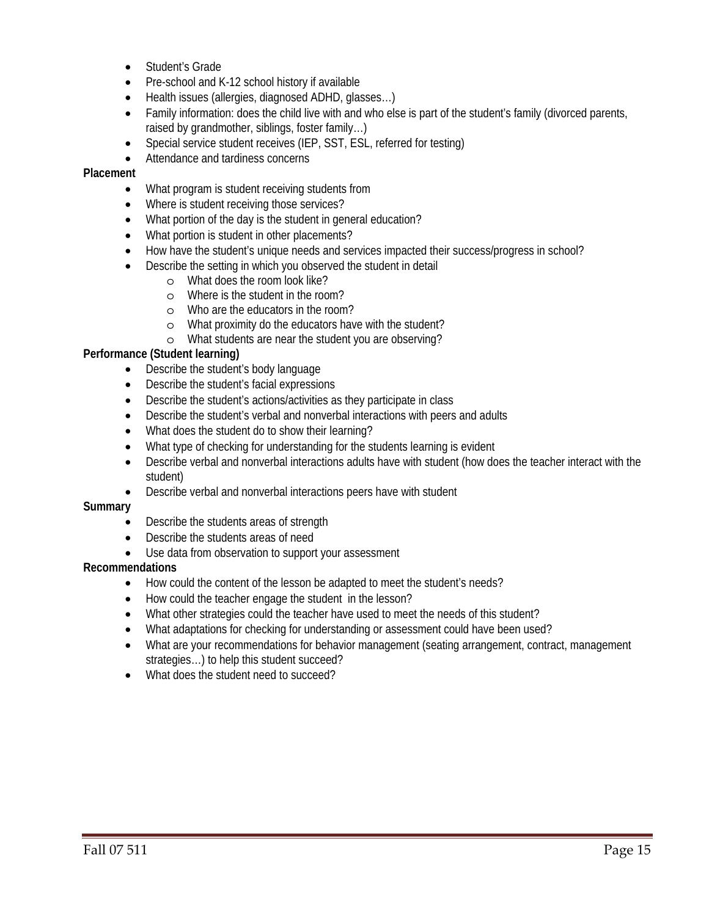- Student's Grade
- Pre-school and K-12 school history if available
- Health issues (allergies, diagnosed ADHD, glasses…)
- Family information: does the child live with and who else is part of the student's family (divorced parents, raised by grandmother, siblings, foster family…)
- Special service student receives (IEP, SST, ESL, referred for testing)
- Attendance and tardiness concerns

#### **Placement**

- What program is student receiving students from
- Where is student receiving those services?
- What portion of the day is the student in general education?
- What portion is student in other placements?
- How have the student's unique needs and services impacted their success/progress in school?
- Describe the setting in which you observed the student in detail
	- o What does the room look like?
	- o Where is the student in the room?
	- o Who are the educators in the room?
	- o What proximity do the educators have with the student?
	- o What students are near the student you are observing?

#### **Performance (Student learning)**

- Describe the student's body language
- Describe the student's facial expressions
- Describe the student's actions/activities as they participate in class
- Describe the student's verbal and nonverbal interactions with peers and adults
- What does the student do to show their learning?
- What type of checking for understanding for the students learning is evident
- Describe verbal and nonverbal interactions adults have with student (how does the teacher interact with the student)
- Describe verbal and nonverbal interactions peers have with student

#### **Summary**

- Describe the students areas of strength
- Describe the students areas of need
- Use data from observation to support your assessment

## **Recommendations**

- How could the content of the lesson be adapted to meet the student's needs?
- How could the teacher engage the student in the lesson?
- What other strategies could the teacher have used to meet the needs of this student?
- What adaptations for checking for understanding or assessment could have been used?
- What are your recommendations for behavior management (seating arrangement, contract, management strategies…) to help this student succeed?
- What does the student need to succeed?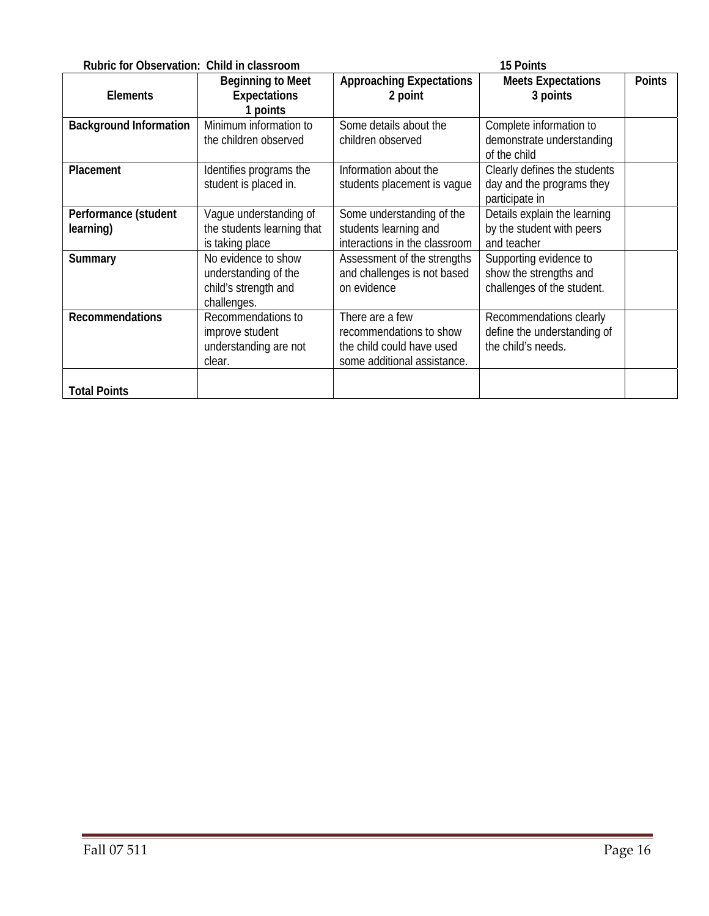| Rubric for Observation: Child in classroom<br>15 Points |                                                                                    |                                                                                                        |                                                                                |               |
|---------------------------------------------------------|------------------------------------------------------------------------------------|--------------------------------------------------------------------------------------------------------|--------------------------------------------------------------------------------|---------------|
| <b>Elements</b>                                         | <b>Beginning to Meet</b><br><b>Expectations</b><br>1 points                        | <b>Approaching Expectations</b><br>2 point                                                             | <b>Meets Expectations</b><br>3 points                                          | <b>Points</b> |
| <b>Background Information</b>                           | Minimum information to<br>the children observed                                    | Some details about the<br>children observed                                                            | Complete information to<br>demonstrate understanding<br>of the child           |               |
| Placement                                               | Identifies programs the<br>student is placed in.                                   | Information about the<br>students placement is vague                                                   | Clearly defines the students<br>day and the programs they<br>participate in    |               |
| Performance (student<br>learning)                       | Vaque understanding of<br>the students learning that<br>is taking place            | Some understanding of the<br>students learning and<br>interactions in the classroom                    | Details explain the learning<br>by the student with peers<br>and teacher       |               |
| Summary                                                 | No evidence to show<br>understanding of the<br>child's strength and<br>challenges. | Assessment of the strengths<br>and challenges is not based<br>on evidence                              | Supporting evidence to<br>show the strengths and<br>challenges of the student. |               |
| <b>Recommendations</b>                                  | Recommendations to<br>improve student<br>understanding are not<br>clear.           | There are a few<br>recommendations to show<br>the child could have used<br>some additional assistance. | Recommendations clearly<br>define the understanding of<br>the child's needs.   |               |
| <b>Total Points</b>                                     |                                                                                    |                                                                                                        |                                                                                |               |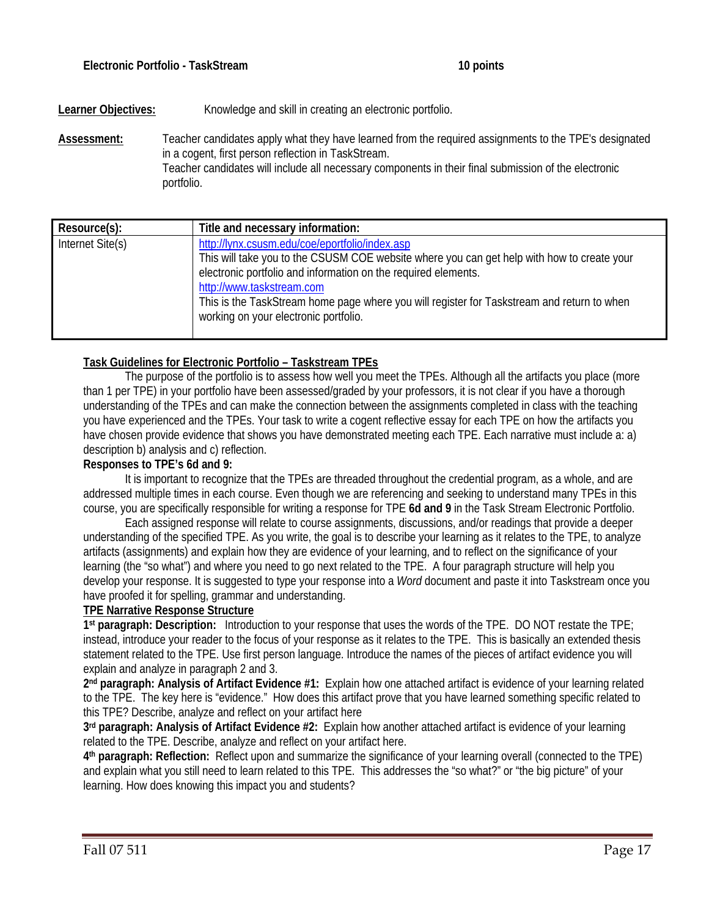## Learner Objectives: Knowledge and skill in creating an electronic portfolio.

**Assessment:** Teacher candidates apply what they have learned from the required assignments to the TPE's designated in a cogent, first person reflection in TaskStream. Teacher candidates will include all necessary components in their final submission of the electronic portfolio.

| Resource(s):     | Title and necessary information:                                                                                                                                                                                                                                                                                                                                                   |
|------------------|------------------------------------------------------------------------------------------------------------------------------------------------------------------------------------------------------------------------------------------------------------------------------------------------------------------------------------------------------------------------------------|
| Internet Site(s) | http://lynx.csusm.edu/coe/eportfolio/index.asp<br>This will take you to the CSUSM COE website where you can get help with how to create your<br>electronic portfolio and information on the required elements.<br>http://www.taskstream.com<br>This is the TaskStream home page where you will register for Taskstream and return to when<br>working on your electronic portfolio. |

## **Task Guidelines for Electronic Portfolio – Taskstream TPEs**

The purpose of the portfolio is to assess how well you meet the TPEs. Although all the artifacts you place (more than 1 per TPE) in your portfolio have been assessed/graded by your professors, it is not clear if you have a thorough understanding of the TPEs and can make the connection between the assignments completed in class with the teaching you have experienced and the TPEs. Your task to write a cogent reflective essay for each TPE on how the artifacts you have chosen provide evidence that shows you have demonstrated meeting each TPE. Each narrative must include a: a) description b) analysis and c) reflection.

#### **Responses to TPE's 6d and 9:**

It is important to recognize that the TPEs are threaded throughout the credential program, as a whole, and are addressed multiple times in each course. Even though we are referencing and seeking to understand many TPEs in this course, you are specifically responsible for writing a response for TPE **6d and 9** in the Task Stream Electronic Portfolio.

Each assigned response will relate to course assignments, discussions, and/or readings that provide a deeper understanding of the specified TPE. As you write, the goal is to describe your learning as it relates to the TPE, to analyze artifacts (assignments) and explain how they are evidence of your learning, and to reflect on the significance of your learning (the "so what") and where you need to go next related to the TPE. A four paragraph structure will help you develop your response. It is suggested to type your response into a *Word* document and paste it into Taskstream once you have proofed it for spelling, grammar and understanding.

#### **TPE Narrative Response Structure**

**1st paragraph: Description:** Introduction to your response that uses the words of the TPE. DO NOT restate the TPE; instead, introduce your reader to the focus of your response as it relates to the TPE. This is basically an extended thesis statement related to the TPE. Use first person language. Introduce the names of the pieces of artifact evidence you will explain and analyze in paragraph 2 and 3.

**2nd paragraph: Analysis of Artifact Evidence #1:** Explain how one attached artifact is evidence of your learning related to the TPE. The key here is "evidence." How does this artifact prove that you have learned something specific related to this TPE? Describe, analyze and reflect on your artifact here

**3rd paragraph: Analysis of Artifact Evidence #2:** Explain how another attached artifact is evidence of your learning related to the TPE. Describe, analyze and reflect on your artifact here.

**4th paragraph: Reflection:** Reflect upon and summarize the significance of your learning overall (connected to the TPE) and explain what you still need to learn related to this TPE. This addresses the "so what?" or "the big picture" of your learning. How does knowing this impact you and students?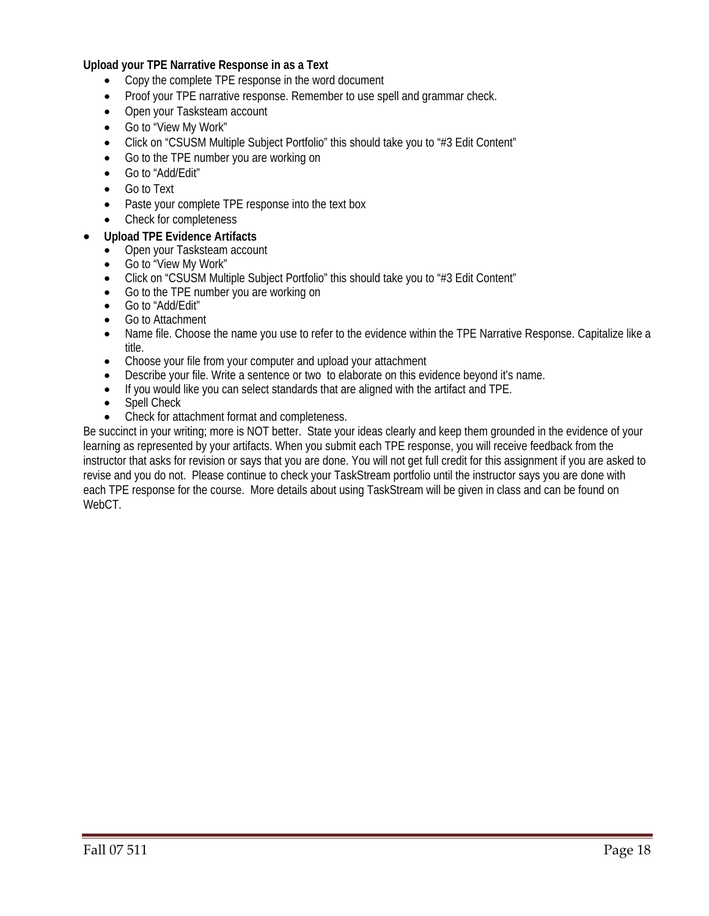## **Upload your TPE Narrative Response in as a Text**

- Copy the complete TPE response in the word document
- Proof your TPE narrative response. Remember to use spell and grammar check.
- Open your Tasksteam account
- Go to "View My Work"
- Click on "CSUSM Multiple Subject Portfolio" this should take you to "#3 Edit Content"
- Go to the TPE number you are working on
- Go to "Add/Edit"
- Go to Text
- Paste your complete TPE response into the text box
- Check for completeness

#### • **Upload TPE Evidence Artifacts**

- Open your Tasksteam account
- Go to "View My Work"
- Click on "CSUSM Multiple Subject Portfolio" this should take you to "#3 Edit Content"
- Go to the TPE number you are working on
- Go to "Add/Edit"
- Go to Attachment
- Name file. Choose the name you use to refer to the evidence within the TPE Narrative Response. Capitalize like a title.
- Choose your file from your computer and upload your attachment
- Describe your file. Write a sentence or two to elaborate on this evidence beyond it's name.
- If you would like you can select standards that are aligned with the artifact and TPE.
- Spell Check
- Check for attachment format and completeness.

Be succinct in your writing; more is NOT better. State your ideas clearly and keep them grounded in the evidence of your learning as represented by your artifacts. When you submit each TPE response, you will receive feedback from the instructor that asks for revision or says that you are done. You will not get full credit for this assignment if you are asked to revise and you do not. Please continue to check your TaskStream portfolio until the instructor says you are done with each TPE response for the course. More details about using TaskStream will be given in class and can be found on WebCT.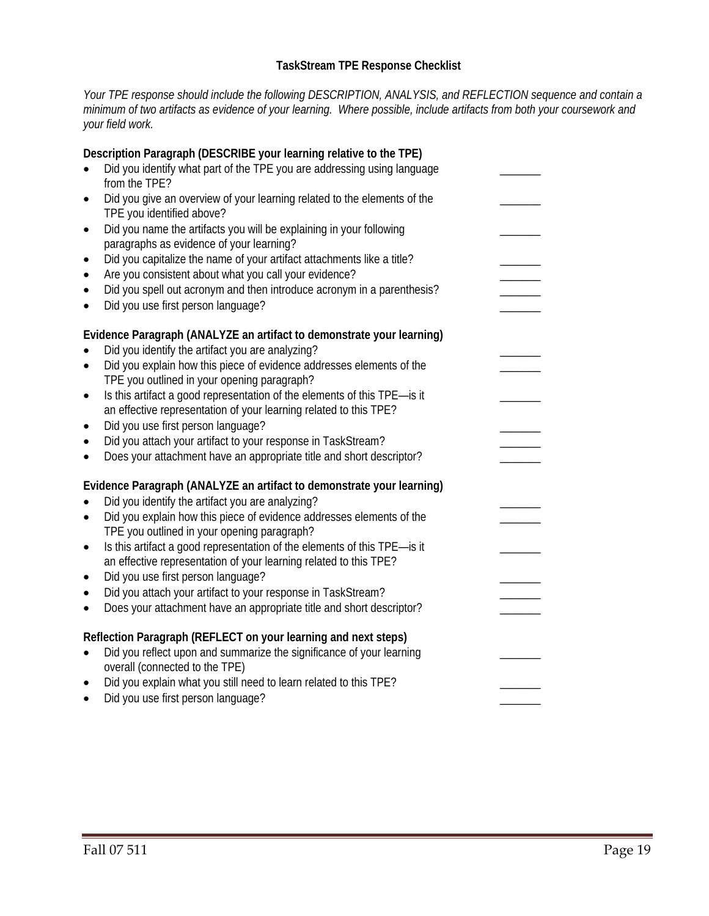## **TaskStream TPE Response Checklist**

*Your TPE response should include the following DESCRIPTION, ANALYSIS, and REFLECTION sequence and contain a minimum of two artifacts as evidence of your learning. Where possible, include artifacts from both your coursework and your field work.* 

| Description Paragraph (DESCRIBE your learning relative to the TPE)<br>Did you identify what part of the TPE you are addressing using language<br>from the TPE?<br>Did you give an overview of your learning related to the elements of the<br>٠<br>TPE you identified above?<br>Did you name the artifacts you will be explaining in your following<br>٠<br>paragraphs as evidence of your learning?<br>Did you capitalize the name of your artifact attachments like a title?<br>٠<br>Are you consistent about what you call your evidence?<br>$\bullet$<br>Did you spell out acronym and then introduce acronym in a parenthesis?<br>Did you use first person language? |  |
|---------------------------------------------------------------------------------------------------------------------------------------------------------------------------------------------------------------------------------------------------------------------------------------------------------------------------------------------------------------------------------------------------------------------------------------------------------------------------------------------------------------------------------------------------------------------------------------------------------------------------------------------------------------------------|--|
| Evidence Paragraph (ANALYZE an artifact to demonstrate your learning)<br>Did you identify the artifact you are analyzing?<br>Did you explain how this piece of evidence addresses elements of the<br>$\bullet$<br>TPE you outlined in your opening paragraph?<br>Is this artifact a good representation of the elements of this TPE-is it<br>$\bullet$<br>an effective representation of your learning related to this TPE?<br>Did you use first person language?<br>$\bullet$<br>Did you attach your artifact to your response in TaskStream?<br>٠<br>Does your attachment have an appropriate title and short descriptor?                                               |  |
| Evidence Paragraph (ANALYZE an artifact to demonstrate your learning)<br>Did you identify the artifact you are analyzing?<br>Did you explain how this piece of evidence addresses elements of the<br>$\bullet$<br>TPE you outlined in your opening paragraph?<br>Is this artifact a good representation of the elements of this TPE-is it<br>$\bullet$<br>an effective representation of your learning related to this TPE?<br>Did you use first person language?<br>٠<br>Did you attach your artifact to your response in TaskStream?<br>$\bullet$<br>Does your attachment have an appropriate title and short descriptor?                                               |  |
| Reflection Paragraph (REFLECT on your learning and next steps)<br>Did you reflect upon and summarize the significance of your learning<br>$\bullet$<br>overall (connected to the TPE)<br>Did you explain what you still need to learn related to this TPE?<br>$\bullet$<br>Did you use first person language?                                                                                                                                                                                                                                                                                                                                                             |  |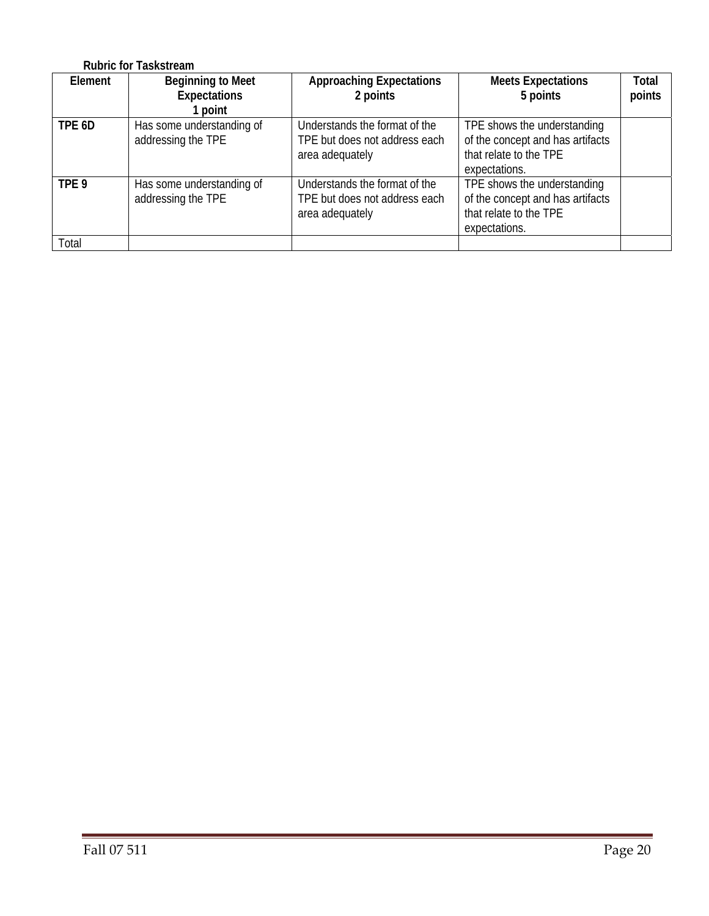|                  | <b>Rubric for Taskstream</b>                             |                                                                                   |                                                                                                            |                 |
|------------------|----------------------------------------------------------|-----------------------------------------------------------------------------------|------------------------------------------------------------------------------------------------------------|-----------------|
| Element          | <b>Beginning to Meet</b><br><b>Expectations</b><br>point | <b>Approaching Expectations</b><br>2 points                                       | <b>Meets Expectations</b><br>5 points                                                                      | Total<br>points |
| TPE 6D           | Has some understanding of<br>addressing the TPE          | Understands the format of the<br>TPE but does not address each<br>area adequately | TPE shows the understanding<br>of the concept and has artifacts<br>that relate to the TPE<br>expectations. |                 |
| TPE <sub>9</sub> | Has some understanding of<br>addressing the TPE          | Understands the format of the<br>TPE but does not address each<br>area adequately | TPE shows the understanding<br>of the concept and has artifacts<br>that relate to the TPE<br>expectations. |                 |
| Total            |                                                          |                                                                                   |                                                                                                            |                 |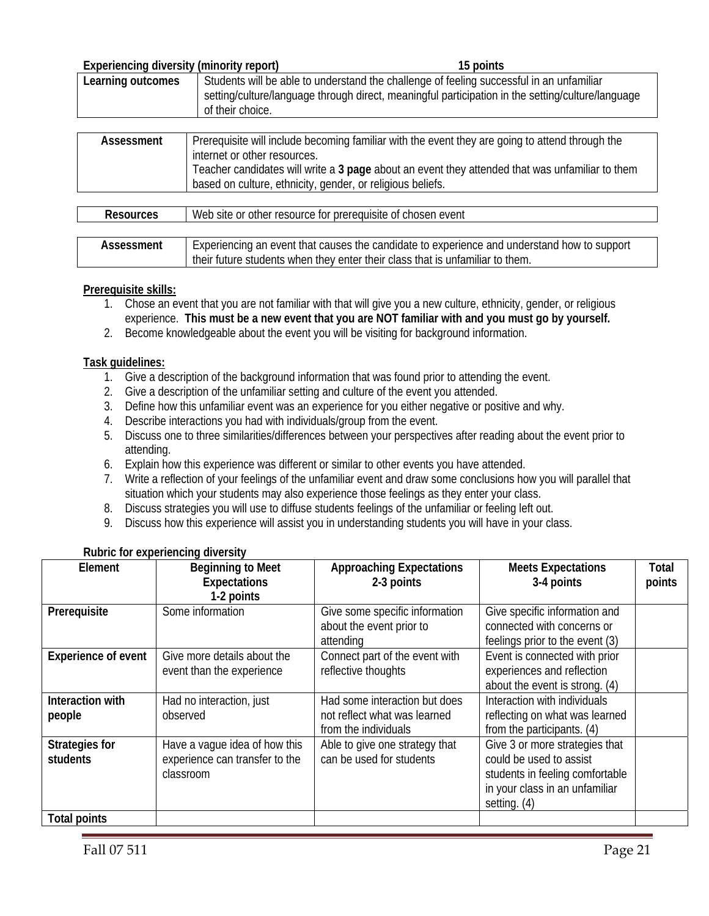| Experiencing diversity (minority report) |  | 15 points                                                                                         |
|------------------------------------------|--|---------------------------------------------------------------------------------------------------|
| Learning outcomes                        |  | Students will be able to understand the challenge of feeling successful in an unfamiliar          |
| of their choice.                         |  | setting/culture/language through direct, meaningful participation in the setting/culture/language |
|                                          |  |                                                                                                   |

| Assessment | Prerequisite will include becoming familiar with the event they are going to attend through the |
|------------|-------------------------------------------------------------------------------------------------|
|            | internet or other resources.                                                                    |
|            | Teacher candidates will write a 3 page about an event they attended that was unfamiliar to them |
|            | based on culture, ethnicity, gender, or religious beliefs.                                      |
|            |                                                                                                 |

| Resources  | Web site or other resource for prerequisite of chosen event                                 |
|------------|---------------------------------------------------------------------------------------------|
|            |                                                                                             |
| Assessment | Experiencing an event that causes the candidate to experience and understand how to support |
|            | their future students when they enter their class that is unfamiliar to them.               |

## **Prerequisite skills:**

- 1. Chose an event that you are not familiar with that will give you a new culture, ethnicity, gender, or religious experience. **This must be a new event that you are NOT familiar with and you must go by yourself.**
- 2. Become knowledgeable about the event you will be visiting for background information.

#### **Task guidelines:**

- 1. Give a description of the background information that was found prior to attending the event.
- 2. Give a description of the unfamiliar setting and culture of the event you attended.
- 3. Define how this unfamiliar event was an experience for you either negative or positive and why.
- 4. Describe interactions you had with individuals/group from the event.
- 5. Discuss one to three similarities/differences between your perspectives after reading about the event prior to attending.
- 6. Explain how this experience was different or similar to other events you have attended.
- 7. Write a reflection of your feelings of the unfamiliar event and draw some conclusions how you will parallel that situation which your students may also experience those feelings as they enter your class.
- 8. Discuss strategies you will use to diffuse students feelings of the unfamiliar or feeling left out.
- 9. Discuss how this experience will assist you in understanding students you will have in your class.

| Element                           | <b>Beginning to Meet</b><br><b>Expectations</b><br>1-2 points                | <b>Approaching Expectations</b><br>2-3 points                                         | <b>Meets Expectations</b><br>3-4 points                                                                                                        | <b>Total</b><br>points |
|-----------------------------------|------------------------------------------------------------------------------|---------------------------------------------------------------------------------------|------------------------------------------------------------------------------------------------------------------------------------------------|------------------------|
| Prerequisite                      | Some information                                                             | Give some specific information<br>about the event prior to<br>attending               | Give specific information and<br>connected with concerns or<br>feelings prior to the event (3)                                                 |                        |
| <b>Experience of event</b>        | Give more details about the<br>event than the experience                     | Connect part of the event with<br>reflective thoughts                                 | Event is connected with prior<br>experiences and reflection<br>about the event is strong. (4)                                                  |                        |
| Interaction with<br>people        | Had no interaction, just<br>observed                                         | Had some interaction but does<br>not reflect what was learned<br>from the individuals | Interaction with individuals<br>reflecting on what was learned<br>from the participants. (4)                                                   |                        |
| <b>Strategies for</b><br>students | Have a vague idea of how this<br>experience can transfer to the<br>classroom | Able to give one strategy that<br>can be used for students                            | Give 3 or more strategies that<br>could be used to assist<br>students in feeling comfortable<br>in your class in an unfamiliar<br>setting. (4) |                        |
| <b>Total points</b>               |                                                                              |                                                                                       |                                                                                                                                                |                        |

## **Rubric for experiencing diversity**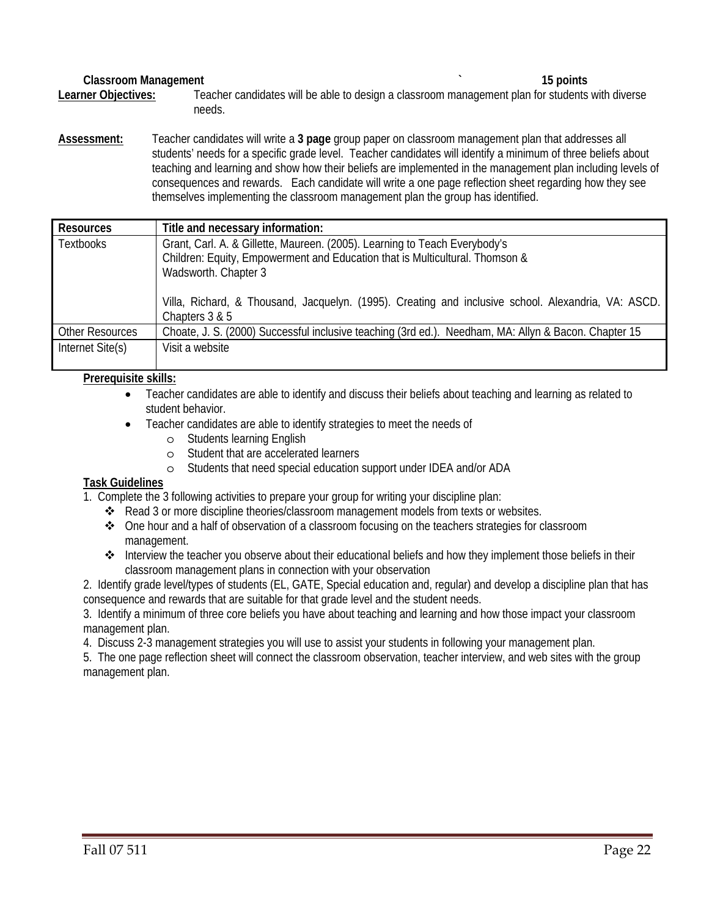#### **Classroom Management 15 points 15 points 15 points**

**Learner Objectives:** Teacher candidates will be able to design a classroom management plan for students with diverse needs.

**Assessment:** Teacher candidates will write a **3 page** group paper on classroom management plan that addresses all students' needs for a specific grade level. Teacher candidates will identify a minimum of three beliefs about teaching and learning and show how their beliefs are implemented in the management plan including levels of consequences and rewards. Each candidate will write a one page reflection sheet regarding how they see themselves implementing the classroom management plan the group has identified.

| <b>Resources</b>       | Title and necessary information:                                                                                                                                                                                                                                                                            |
|------------------------|-------------------------------------------------------------------------------------------------------------------------------------------------------------------------------------------------------------------------------------------------------------------------------------------------------------|
| <b>Textbooks</b>       | Grant, Carl. A. & Gillette, Maureen. (2005). Learning to Teach Everybody's<br>Children: Equity, Empowerment and Education that is Multicultural. Thomson &<br>Wadsworth. Chapter 3<br>Villa, Richard, & Thousand, Jacquelyn. (1995). Creating and inclusive school. Alexandria, VA: ASCD.<br>Chapters 3 & 5 |
| <b>Other Resources</b> | Choate, J. S. (2000) Successful inclusive teaching (3rd ed.). Needham, MA: Allyn & Bacon. Chapter 15                                                                                                                                                                                                        |
| Internet Site(s)       | Visit a website                                                                                                                                                                                                                                                                                             |

## **Prerequisite skills:**

- Teacher candidates are able to identify and discuss their beliefs about teaching and learning as related to student behavior.
- Teacher candidates are able to identify strategies to meet the needs of
	- o Students learning English
	- o Student that are accelerated learners
	- o Students that need special education support under IDEA and/or ADA

## **Task Guidelines**

1. Complete the 3 following activities to prepare your group for writing your discipline plan:

- Read 3 or more discipline theories/classroom management models from texts or websites.
- One hour and a half of observation of a classroom focusing on the teachers strategies for classroom management.
- Interview the teacher you observe about their educational beliefs and how they implement those beliefs in their classroom management plans in connection with your observation

2. Identify grade level/types of students (EL, GATE, Special education and, regular) and develop a discipline plan that has consequence and rewards that are suitable for that grade level and the student needs.

3. Identify a minimum of three core beliefs you have about teaching and learning and how those impact your classroom management plan.

4. Discuss 2-3 management strategies you will use to assist your students in following your management plan.

5. The one page reflection sheet will connect the classroom observation, teacher interview, and web sites with the group management plan.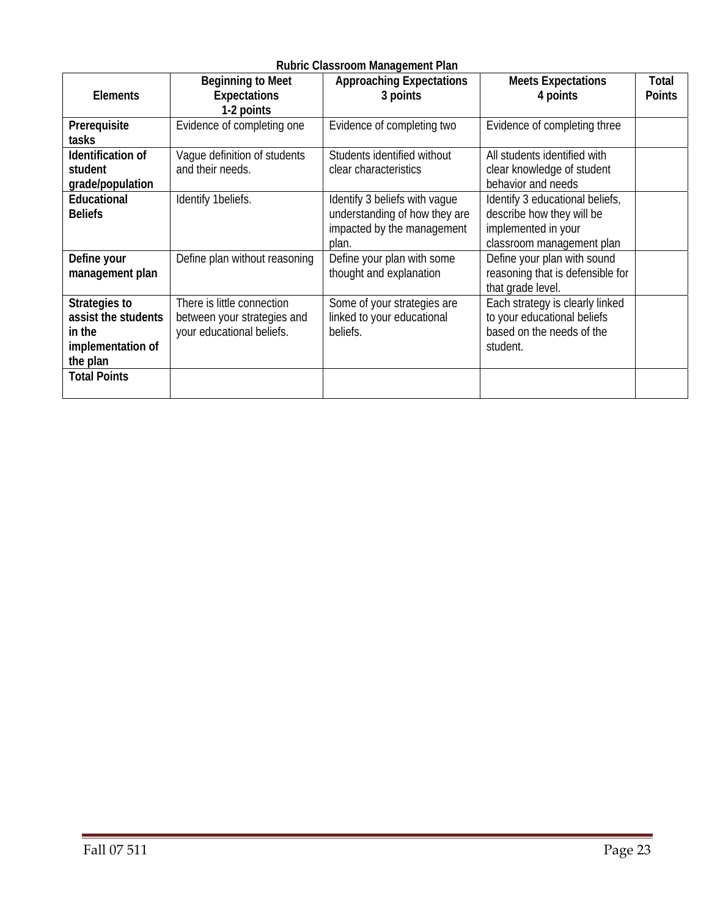# **Rubric Classroom Management Plan**

| <b>Elements</b>                                                                 | <b>Beginning to Meet</b><br><b>Expectations</b><br>1-2 points                          | <b>Approaching Expectations</b><br>3 points                                                           | <b>Meets Expectations</b><br>4 points                                                                            | Total<br><b>Points</b> |
|---------------------------------------------------------------------------------|----------------------------------------------------------------------------------------|-------------------------------------------------------------------------------------------------------|------------------------------------------------------------------------------------------------------------------|------------------------|
| Prerequisite<br>tasks                                                           | Evidence of completing one                                                             | Evidence of completing two                                                                            | Evidence of completing three                                                                                     |                        |
| Identification of<br>student<br>grade/population                                | Vaque definition of students<br>and their needs.                                       | Students identified without<br>clear characteristics                                                  | All students identified with<br>clear knowledge of student<br>behavior and needs                                 |                        |
| Educational<br><b>Beliefs</b>                                                   | Identify 1beliefs.                                                                     | Identify 3 beliefs with vague<br>understanding of how they are<br>impacted by the management<br>plan. | Identify 3 educational beliefs,<br>describe how they will be<br>implemented in your<br>classroom management plan |                        |
| Define your<br>management plan                                                  | Define plan without reasoning                                                          | Define your plan with some<br>thought and explanation                                                 | Define your plan with sound<br>reasoning that is defensible for<br>that grade level.                             |                        |
| Strategies to<br>assist the students<br>in the<br>implementation of<br>the plan | There is little connection<br>between your strategies and<br>your educational beliefs. | Some of your strategies are<br>linked to your educational<br>beliefs.                                 | Each strategy is clearly linked<br>to your educational beliefs<br>based on the needs of the<br>student.          |                        |
| <b>Total Points</b>                                                             |                                                                                        |                                                                                                       |                                                                                                                  |                        |